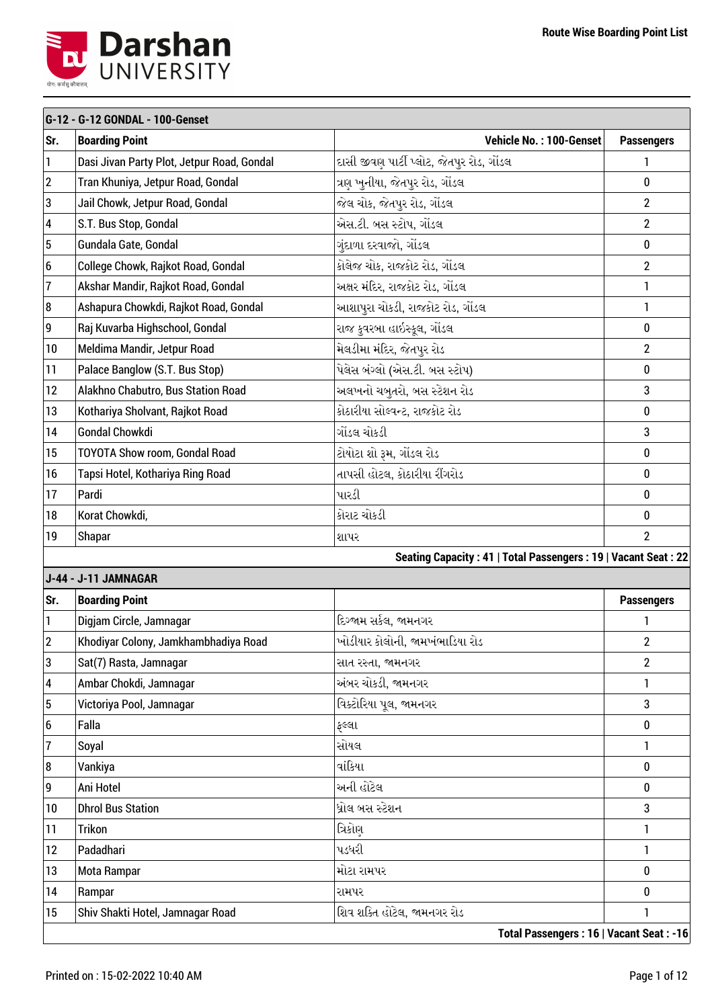

|                  | G-12 - G-12 GONDAL - 100-Genset            |                                                               |                   |  |
|------------------|--------------------------------------------|---------------------------------------------------------------|-------------------|--|
| Sr.              | <b>Boarding Point</b>                      | Vehicle No.: 100-Genset                                       | <b>Passengers</b> |  |
| 1                | Dasi Jivan Party Plot, Jetpur Road, Gondal | દાસી જીવણ પાર્ટી પ્લોટ, જેતપુર રોડ, ગોંડલ                     | 1                 |  |
| $\boldsymbol{2}$ | Tran Khuniya, Jetpur Road, Gondal          | ત્રણ ખુનીયા, જેતપુર રોડ, ગોંડલ                                | $\bf{0}$          |  |
| 3                | Jail Chowk, Jetpur Road, Gondal            | જેલ ચોક, જેતપુર રોડ, ગોંડલ                                    | $\overline{2}$    |  |
| 4                | S.T. Bus Stop, Gondal                      | એસ.ટી. બસ સ્ટોપ, ગોંડલ                                        | $\overline{2}$    |  |
| 5                | Gundala Gate, Gondal                       | ગુંદાળા દરવાજો, ગોંડલ                                         | 0                 |  |
| 6                | College Chowk, Rajkot Road, Gondal         | કોલેજ ચોક, રાજકોટ રોડ, ગોંડલ                                  | $\overline{2}$    |  |
| $\overline{1}$   | Akshar Mandir, Rajkot Road, Gondal         | અક્ષર મંદિર, રાજકોટ રોડ, ગોંડલ                                | $\mathbf{1}$      |  |
| 8                | Ashapura Chowkdi, Rajkot Road, Gondal      | આશાપુરા ચોકડી, રાજકોટ રોડ, ગોંડલ                              | $\mathbf{1}$      |  |
| 9                | Raj Kuvarba Highschool, Gondal             | રાજ કુવરબા હાઇસ્કૂલ, ગોંડલ                                    | $\bf{0}$          |  |
| 10               | Meldima Mandir, Jetpur Road                | મેલડીમા મંદિર, જેતપુર રોડ                                     | $\overline{2}$    |  |
| 11               | Palace Banglow (S.T. Bus Stop)             | પેલેસ બંગ્લો (એસ.ટી. બસ સ્ટોપ)                                | $\bf{0}$          |  |
| 12               | Alakhno Chabutro, Bus Station Road         | અલખનો ચબૂતરો, બસ સ્ટેશન રોડ                                   | 3                 |  |
| 13               | Kothariya Sholvant, Rajkot Road            | કોઠારીયા સોલ્વન્ટ, રાજકોટ રોડ                                 | $\bf{0}$          |  |
| 14               | <b>Gondal Chowkdi</b>                      | ગોંડલ ચોકડી                                                   | 3                 |  |
| 15               | TOYOTA Show room, Gondal Road              | ટોયોટા શો રૂમ, ગોંડલ રોડ                                      | $\bf{0}$          |  |
| 16               | Tapsi Hotel, Kothariya Ring Road           | તાપસી હોટલ, કોઠારીયા રીંગરોડ                                  | $\bf{0}$          |  |
| 17               | Pardi                                      | પારડી                                                         | $\bf{0}$          |  |
| 18               | Korat Chowkdi,                             | કોરાટ ચોકડી                                                   | $\bf{0}$          |  |
| 19               | Shapar                                     | શાપર                                                          | $\overline{2}$    |  |
|                  |                                            | Seating Capacity: 41   Total Passengers: 19   Vacant Seat: 22 |                   |  |
|                  | J-44 - J-11 JAMNAGAR                       |                                                               |                   |  |
| Sr.              | <b>Boarding Point</b>                      |                                                               | <b>Passengers</b> |  |
| 1                | Digjam Circle, Jamnagar                    | દિગ્જામ સર્કલ, જામનગર                                         | 1                 |  |
| 2                | Khodiyar Colony, Jamkhambhadiya Road       | ખોડીયાર કોલોની, જામખંભાડિયા રોડ                               | $\overline{c}$    |  |
| 3                | Sat(7) Rasta, Jamnagar                     | સાત રસ્તા, જામનગર                                             | $\overline{2}$    |  |
| 4                | Ambar Chokdi, Jamnagar                     | અંબર ચોકડી, જામનગર                                            | 1                 |  |
| 5                | Victoriya Pool, Jamnagar                   | વિક્ટોરિયા પુલ, જામનગર                                        | 3                 |  |
| 6                | Falla                                      | ફલ્લા                                                         | 0                 |  |
| 7                | Soyal                                      | સોયલ                                                          | 1                 |  |
| 8                | Vankiya                                    | વાંકિયા                                                       | 0                 |  |
| 9                | Ani Hotel                                  | અની હોટેલ                                                     | $\bf{0}$          |  |
| 10               | <b>Dhrol Bus Station</b>                   | ધ્રોલ બસ સ્ટેશન                                               | 3                 |  |
| 11               | <b>Trikon</b>                              | ત્રિકોણ                                                       | 1                 |  |
| 12               | Padadhari                                  | પડધરી                                                         | 1                 |  |
| 13               | Mota Rampar                                | મોટા રામપર                                                    | 0                 |  |
| 14               | Rampar                                     | રામપર                                                         | 0                 |  |
| 15               | Shiv Shakti Hotel, Jamnagar Road           | શિવ શક્તિ હોટેલ, જામનગર રોડ                                   | 1                 |  |
|                  |                                            | Total Passengers: 16   Vacant Seat: -16                       |                   |  |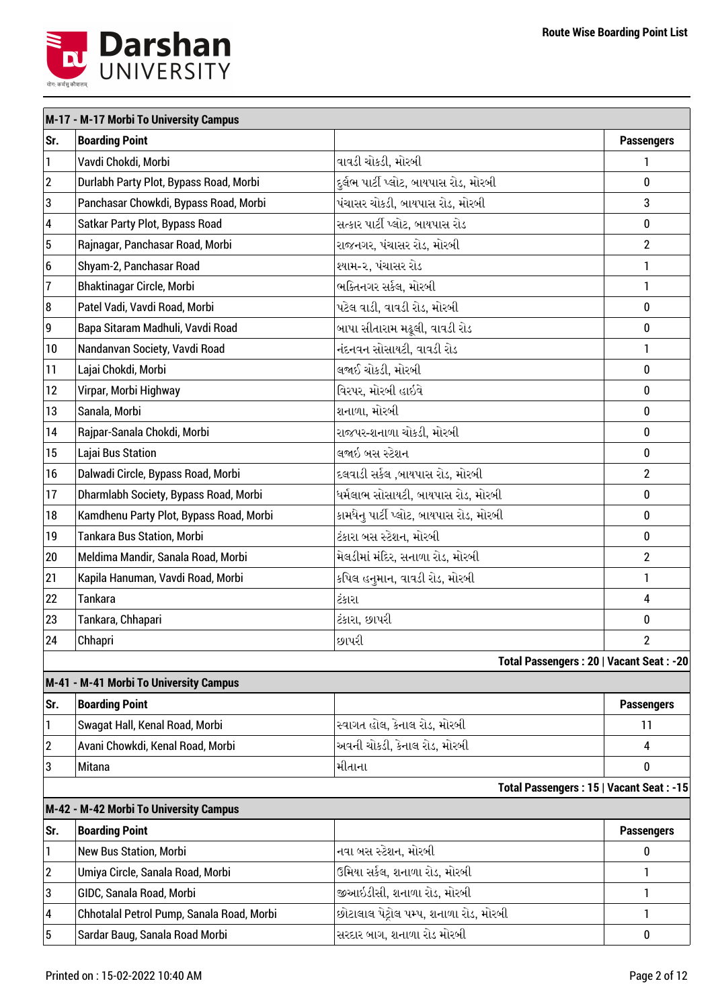

|                           | M-17 - M-17 Morbi To University Campus    |                                         |                         |
|---------------------------|-------------------------------------------|-----------------------------------------|-------------------------|
| Sr.                       | <b>Boarding Point</b>                     |                                         | <b>Passengers</b>       |
| $\mathbf{1}$              | Vavdi Chokdi, Morbi                       | વાવડી ચોકડી, મોરબી                      | 1                       |
| $\overline{2}$            | Durlabh Party Plot, Bypass Road, Morbi    | દુર્લભ પાર્ટી પ્લોટ, બાયપાસ રોડ, મોરબી  | $\bf{0}$                |
| 3                         | Panchasar Chowkdi, Bypass Road, Morbi     | પંચાસર ચોકડી, બાયપાસ રોડ, મોરબી         | 3                       |
| 4                         | Satkar Party Plot, Bypass Road            | સત્કાર પાર્ટી પ્લોટ, બાયપાસ રોડ         | 0                       |
| 5                         | Rajnagar, Panchasar Road, Morbi           | રાજનગર, પંચાસર રોડ, મોરબી               | $\overline{2}$          |
| 6                         | Shyam-2, Panchasar Road                   | શ્યામ-૨, પંચાસર રોડ                     | 1                       |
| $\overline{\mathfrak{I}}$ | Bhaktinagar Circle, Morbi                 | ભક્તિનગર સર્કલ, મોરબી                   | 1                       |
| 8                         | Patel Vadi, Vavdi Road, Morbi             | પટેલ વાડી, વાવડી રોડ, મોરબી             | $\bf{0}$                |
| $\boldsymbol{9}$          | Bapa Sitaram Madhuli, Vavdi Road          | બાપા સીતારામ મઢૂલી, વાવડી રોડ           | 0                       |
| 10                        | Nandanvan Society, Vavdi Road             | નંદનવન સોસાયટી, વાવડી રોડ               | 1                       |
| 11                        | Lajai Chokdi, Morbi                       | લજાઈ ચોકડી, મોરબી                       | $\bf{0}$                |
| 12                        | Virpar, Morbi Highway                     | વિરપર, મોરબી હાઇવે                      | $\bf{0}$                |
| 13                        | Sanala, Morbi                             | શનાળા, મોરબી                            | 0                       |
| 14                        | Rajpar-Sanala Chokdi, Morbi               | રાજપર-શનાળા ચોકડી, મોરબી                | 0                       |
| 15                        | Lajai Bus Station                         | લજાઇ બસ સ્ટેશન                          | $\bf{0}$                |
| 16                        | Dalwadi Circle, Bypass Road, Morbi        | દલવાડી સર્કલ ,બાયપાસ રોડ, મોરબી         | $\overline{2}$          |
| 17                        | Dharmlabh Society, Bypass Road, Morbi     | ધર્મલાભ સોસાયટી, બાયપાસ રોડ, મોરબી      | $\pmb{0}$               |
| 18                        | Kamdhenu Party Plot, Bypass Road, Morbi   | કામધેનુ પાર્ટી પ્લોટ, બાયપાસ રોડ, મોરબી | $\bf{0}$                |
| 19                        | <b>Tankara Bus Station, Morbi</b>         | ટંકારા બસ સ્ટેશન, મોરબી                 | 0                       |
| 20                        | Meldima Mandir, Sanala Road, Morbi        | મેલડીમાં મંદિર, સનાળા રોડ, મોરબી        | $\overline{2}$          |
| 21                        | Kapila Hanuman, Vavdi Road, Morbi         | કપિલ હનુમાન, વાવડી રોડ, મોરબી           | $\mathbf{1}$            |
| 22                        | <b>Tankara</b>                            | ટંકારા                                  | $\overline{\mathbf{4}}$ |
| 23                        | Tankara, Chhapari                         | ટંકારા, છાપરી                           | 0                       |
| 24                        | Chhapri                                   | છાપરી                                   | $\mathbf{2}$            |
|                           |                                           | Total Passengers: 20   Vacant Seat: -20 |                         |
|                           | M-41 - M-41 Morbi To University Campus    |                                         |                         |
| Sr.                       | <b>Boarding Point</b>                     |                                         | <b>Passengers</b>       |
| 1                         | Swagat Hall, Kenal Road, Morbi            | સ્વાગત હોલ, કેનાલ રોડ, મોરબી            | 11                      |
| 2                         | Avani Chowkdi, Kenal Road, Morbi          | અવની ચોકડી, કેનાલ રોડ, મોરબી            | 4                       |
| 3                         | Mitana                                    | મીતાના                                  | $\bf{0}$                |
|                           |                                           | Total Passengers: 15   Vacant Seat: -15 |                         |
|                           | M-42 - M-42 Morbi To University Campus    |                                         |                         |
| Sr.                       | <b>Boarding Point</b>                     |                                         | <b>Passengers</b>       |
| $\mathbf{1}$              | New Bus Station, Morbi                    | નવા બસ સ્ટેશન, મોરબી                    | 0                       |
| 2                         | Umiya Circle, Sanala Road, Morbi          | ઉમિયા સર્કલ, શનાળા રોડ, મોરબી           | 1                       |
| 3                         | GIDC, Sanala Road, Morbi                  | જીઆઇડીસી, શનાળા રોડ, મોરબી              | 1                       |
| 4                         | Chhotalal Petrol Pump, Sanala Road, Morbi | છોટાલાલ પેટ્રોલ પમ્પ, શનાળા રોડ, મોરબી  | 1                       |
| 5                         | Sardar Baug, Sanala Road Morbi            | સરદાર બાગ, શનાળા રોડ મોરબી              | 0                       |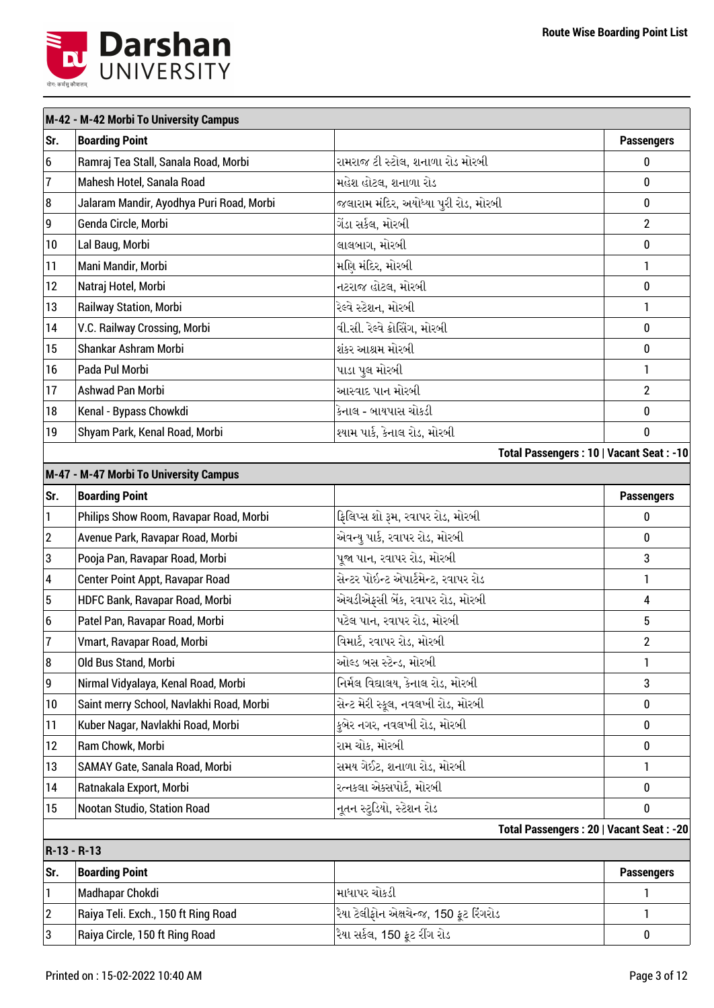

|                  | M-42 - M-42 Morbi To University Campus   |                                         |                   |  |
|------------------|------------------------------------------|-----------------------------------------|-------------------|--|
| Sr.              | <b>Boarding Point</b>                    |                                         | <b>Passengers</b> |  |
| $6\overline{6}$  | Ramraj Tea Stall, Sanala Road, Morbi     | રામરાજ ટી સ્ટોલ, શનાળા રોડ મોરબી        | 0                 |  |
| $\overline{7}$   | Mahesh Hotel, Sanala Road                | મહેશ હોટલ, શનાળા રોડ                    | 0                 |  |
| $\boldsymbol{8}$ | Jalaram Mandir, Ayodhya Puri Road, Morbi | જલારામ મંદિર, અયોધ્યા પુરી રોડ, મોરબી   | 0                 |  |
| 9                | Genda Circle, Morbi                      | ગેંડા સર્કલ, મોરબી                      | $\overline{2}$    |  |
| 10               | Lal Baug, Morbi                          | લાલબાગ, મોરબી                           | 0                 |  |
| 11               | Mani Mandir, Morbi                       | મણિ મંદિર, મોરબી                        | 1                 |  |
| 12               | Natraj Hotel, Morbi                      | નટરાજ હોટલ, મોરબી                       | 0                 |  |
| 13               | Railway Station, Morbi                   | રેલ્વે સ્ટેશન, મોરબી                    | 1                 |  |
| 14               | V.C. Railway Crossing, Morbi             | વી.સી. રેલ્વે ક્રોસિંગ, મોરબી           | 0                 |  |
| 15               | Shankar Ashram Morbi                     | શંકર આશ્રમ મોરબી                        | 0                 |  |
| 16               | Pada Pul Morbi                           | પાડા પુલ મોરબી                          | 1                 |  |
| 17               | Ashwad Pan Morbi                         | આસ્વાદ પાન મોરબી                        | $\overline{2}$    |  |
| 18               | Kenal - Bypass Chowkdi                   | કેનાલ - બાયપાસ ચોકડી                    | 0                 |  |
| 19               | Shyam Park, Kenal Road, Morbi            | શ્યામ પાર્ક, કેનાલ રોડ, મોરબી           | 0                 |  |
|                  |                                          | Total Passengers: 10   Vacant Seat: -10 |                   |  |
|                  | M-47 - M-47 Morbi To University Campus   |                                         |                   |  |
| Sr.              | <b>Boarding Point</b>                    |                                         | <b>Passengers</b> |  |
| 1                | Philips Show Room, Ravapar Road, Morbi   | ફિલિપ્સ શો રૂમ, રવાપર રોડ, મોરબી        | 0                 |  |
| $\boldsymbol{2}$ | Avenue Park, Ravapar Road, Morbi         | એવન્યુ પાર્ક, રવાપર રોડ, મોરબી          | 0                 |  |
| 3                | Pooja Pan, Ravapar Road, Morbi           | પૂજા પાન, રવાપર રોડ, મોરબી              | 3                 |  |
| 4                | Center Point Appt, Ravapar Road          | સેન્ટર પોઇન્ટ એપાર્ટમેન્ટ, રવાપર રોડ    | 1                 |  |
| $\overline{5}$   | HDFC Bank, Ravapar Road, Morbi           | એચડીએફસી બેંક, રવાપર રોડ, મોરબી         | 4                 |  |
| $6\overline{6}$  | Patel Pan, Ravapar Road, Morbi           | પટેલ પાન, રવાપર રોડ, મોરબી              | 5                 |  |
| 7                | Vmart, Ravapar Road, Morbi               | વિમાર્ટ, રવાપર રોડ, મોરબી               | $\overline{c}$    |  |
| 8                | Old Bus Stand, Morbi                     | ઓલ્ડ બસ સ્ટેન્ડ, મોરબી                  | 1                 |  |
| 9                | Nirmal Vidyalaya, Kenal Road, Morbi      | નિર્મલ વિદ્યાલય, કેનાલ રોડ, મોરબી       | 3                 |  |
| 10               | Saint merry School, Navlakhi Road, Morbi | સેન્ટ મેરી સ્કૂલ, નવલખી રોડ, મોરબી      | 0                 |  |
| 11               | Kuber Nagar, Navlakhi Road, Morbi        | કુબેર નગર, નવલખી રોડ, મોરબી             | 0                 |  |
| 12               | Ram Chowk, Morbi                         | રામ ચોક, મોરબી                          | 0                 |  |
| 13               | SAMAY Gate, Sanala Road, Morbi           | સમય ગેઈટ, શનાળા રોડ, મોરબી              | 1                 |  |
| 14               | Ratnakala Export, Morbi                  | રત્નકલા એક્સપોર્ટ, મોરબી                | 0                 |  |
| 15               | Nootan Studio, Station Road              | નૂતન સ્ટુડિયો, સ્ટેશન રોડ               | 0                 |  |
|                  |                                          | Total Passengers: 20   Vacant Seat: -20 |                   |  |
| R-13 - R-13      |                                          |                                         |                   |  |
| Sr.              | <b>Boarding Point</b>                    |                                         | <b>Passengers</b> |  |
| 1                | Madhapar Chokdi                          | માધાપર ચોકડી                            | 1                 |  |
| $\boldsymbol{2}$ | Raiya Teli. Exch., 150 ft Ring Road      | રૈયા ટેલીફોન એક્ષચેન્જ, 150 ફૂટ રિંગરોડ | 1                 |  |
| 3                | Raiya Circle, 150 ft Ring Road           | રૈયા સર્કલ, 150 ફૂટ રીંગ રોડ            | 0                 |  |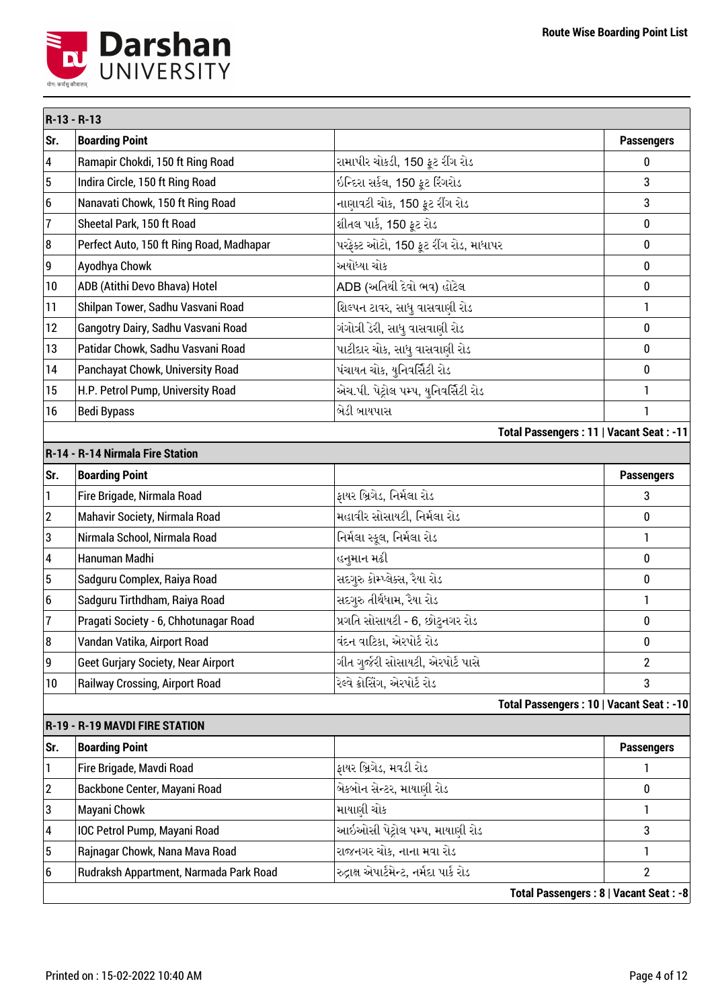

| R-13 - R-13             |                                           |                                         |                   |
|-------------------------|-------------------------------------------|-----------------------------------------|-------------------|
| Sr.                     | <b>Boarding Point</b>                     |                                         | <b>Passengers</b> |
| $\overline{\mathbf{4}}$ | Ramapir Chokdi, 150 ft Ring Road          | રામાપીર ચોકડી, 150 ફૂટ રીંગ રોડ         | 0                 |
| $\overline{5}$          | Indira Circle, 150 ft Ring Road           | ઇન્દિરા સર્કલ, 150 ફૂટ રિંગરોડ          | 3                 |
| 6                       | Nanavati Chowk, 150 ft Ring Road          | નાણાવટી ચોક, 150 ફૂટ રીંગ રોડ           | 3                 |
| 7                       | Sheetal Park, 150 ft Road                 | શીતલ પાર્ક, 150 ફૂટ રોડ                 | $\bf{0}$          |
| 8                       | Perfect Auto, 150 ft Ring Road, Madhapar  | પરફેક્ટ ઓટો, 150 ફૂટ રીંગ રોડ, માધાપર   | 0                 |
| 9                       | Ayodhya Chowk                             | અયોધ્યા ચોક                             | $\bf{0}$          |
| 10                      | ADB (Atithi Devo Bhava) Hotel             | ADB (અતિથી દેવો ભવ) હોટેલ               | $\bf{0}$          |
| 11                      | Shilpan Tower, Sadhu Vasvani Road         | શિલ્પન ટાવર, સાધુ વાસવાણી રોડ           | $\mathbf{1}$      |
| 12                      | Gangotry Dairy, Sadhu Vasvani Road        | ગંગોત્રી ડેરી, સાધુ વાસવાણી રોડ         | $\bf{0}$          |
| 13                      | Patidar Chowk, Sadhu Vasvani Road         | પાટીદાર ચોક, સાધુ વાસવાણી રોડ           | 0                 |
| 14                      | Panchayat Chowk, University Road          | પંચાયત ચોક, યુનિવર્સિટી રોડ             | 0                 |
| 15                      | H.P. Petrol Pump, University Road         | એચ.પી. પેટ્રોલ પમ્પ, યુનિવર્સિટી રોડ    | 1                 |
| 16                      | <b>Bedi Bypass</b>                        | બેડી બાયપાસ                             | 1                 |
|                         |                                           | Total Passengers: 11   Vacant Seat: -11 |                   |
|                         | R-14 - R-14 Nirmala Fire Station          |                                         |                   |
| Sr.                     | <b>Boarding Point</b>                     |                                         | <b>Passengers</b> |
| 1                       | Fire Brigade, Nirmala Road                | ફાયર બ્રિગેડ, નિર્મલા રોડ               | 3                 |
| $\boldsymbol{2}$        | Mahavir Society, Nirmala Road             | મહાવીર સોસાયટી, નિર્મલા રોડ             | $\bf{0}$          |
| 3                       | Nirmala School, Nirmala Road              | નિર્મલા સ્કૂલ, નિર્મલા રોડ              | 1                 |
| 4                       | Hanuman Madhi                             | હનુમાન મઢી                              | $\bf{0}$          |
| $\overline{5}$          | Sadguru Complex, Raiya Road               | સદગુરુ કોમ્પ્લેક્સ, રૈયા રોડ            | $\bf{0}$          |
| 6                       | Sadguru Tirthdham, Raiya Road             | સદગુરુ તીર્થધામ, રૈયા રોડ               | 1                 |
| 7                       | Pragati Society - 6, Chhotunagar Road     | પ્રગતિ સોસાયટી - 6, છોટુનગર રોડ         | $\bf{0}$          |
| 8                       | Vandan Vatika, Airport Road               | વંદન વાટિકા, એરપોર્ટ રોડ                | $\pmb{0}$         |
| 9                       | <b>Geet Gurjary Society, Near Airport</b> | ગીત ગુર્જરી સોસાયટી, એરપોર્ટ પાસે       | $\overline{2}$    |
| 10                      | <b>Railway Crossing, Airport Road</b>     | રેલ્વે ક્રોસિંગ, એરપોર્ટ રોડ            | 3                 |
|                         |                                           | Total Passengers: 10   Vacant Seat: -10 |                   |
|                         | R-19 - R-19 MAVDI FIRE STATION            |                                         |                   |
| Sr.                     | <b>Boarding Point</b>                     |                                         | <b>Passengers</b> |
| 1                       | Fire Brigade, Mavdi Road                  | ફાયર બ્રિગેડ, મવડી રોડ                  | 1                 |
| $\boldsymbol{2}$        | Backbone Center, Mayani Road              | બેકબોન સેન્ટર, માયાણી રોડ               | 0                 |
| 3                       | Mayani Chowk                              | માયાણી ચોક                              | $\mathbf{1}$      |
| 4                       | IOC Petrol Pump, Mayani Road              | આઇઓસી પેટ્રોલ પમ્પ, માયાણી રોડ          | 3                 |
| 5                       | Rajnagar Chowk, Nana Mava Road            | રાજનગર ચોક, નાના મવા રોડ                | 1                 |
| 6                       | Rudraksh Appartment, Narmada Park Road    | રુદ્રાક્ષ એપાર્ટમેન્ટ, નર્મદા પાર્ક રોડ | $\overline{2}$    |
|                         |                                           | Total Passengers: 8   Vacant Seat: -8   |                   |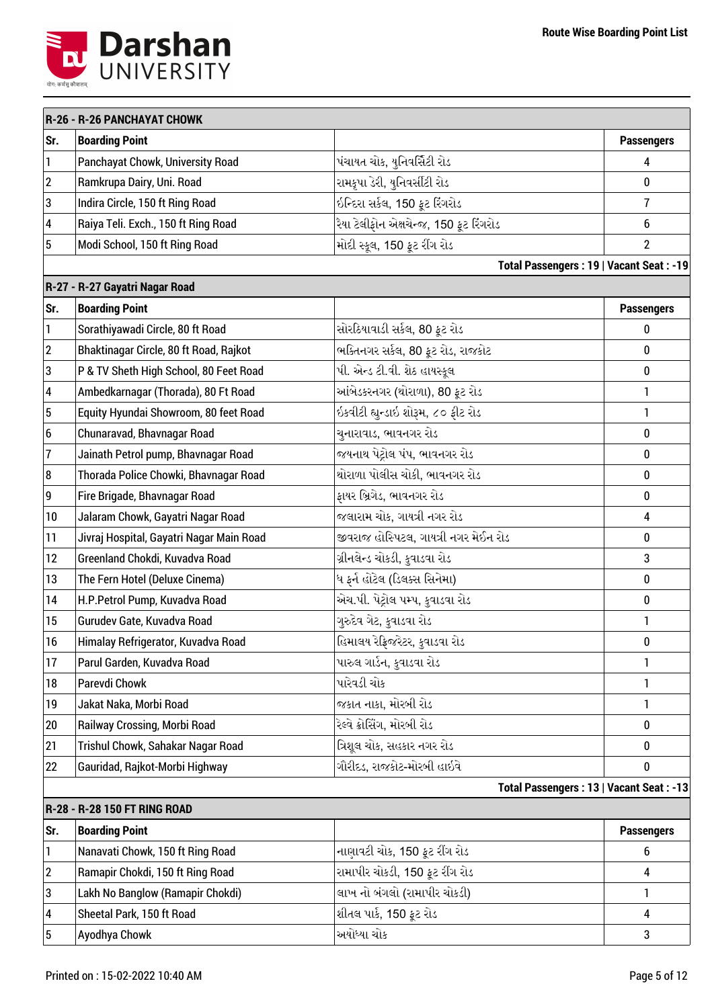

|                         | R-26 - R-26 PANCHAYAT CHOWK              |                                         |                                         |
|-------------------------|------------------------------------------|-----------------------------------------|-----------------------------------------|
| Sr.                     | <b>Boarding Point</b>                    |                                         | <b>Passengers</b>                       |
| 1                       | Panchayat Chowk, University Road         | પંચાયત ચોક, યુનિવર્સિટી રોડ             | 4                                       |
| $\boldsymbol{2}$        | Ramkrupa Dairy, Uni. Road                | રામકૃપા ડેરી, યુનિવર્સીટી રોડ           | 0                                       |
| 3                       | Indira Circle, 150 ft Ring Road          | ઇન્દિરા સર્કલ, 150 ફૂટ રિંગરોડ          | $\overline{7}$                          |
| $\overline{\mathbf{4}}$ | Raiya Teli. Exch., 150 ft Ring Road      | રૈયા ટેલીફોન એક્ષચેન્જ, 150 ફૂટ રિંગરોડ | 6                                       |
| $\overline{5}$          | Modi School, 150 ft Ring Road            | મોદી સ્કૂલ, 150 ફૂટ રીંગ રોડ            | $\overline{2}$                          |
|                         |                                          |                                         | Total Passengers: 19   Vacant Seat: -19 |
|                         | R-27 - R-27 Gayatri Nagar Road           |                                         |                                         |
| Sr.                     | <b>Boarding Point</b>                    |                                         | <b>Passengers</b>                       |
| 1                       | Sorathiyawadi Circle, 80 ft Road         | સોરઠિયાવાડી સર્કલ, 80 ફૂટ રોડ           | 0                                       |
| $\boldsymbol{2}$        | Bhaktinagar Circle, 80 ft Road, Rajkot   | ભક્તિનગર સર્કલ, 80 ફૂટ રોડ, રાજકોટ      | 0                                       |
| $\mathbf 3$             | P & TV Sheth High School, 80 Feet Road   | પી. એન્ડ ટી.વી. શેઠ હાયસ્કૂલ            | 0                                       |
| $\overline{\mathbf{4}}$ | Ambedkarnagar (Thorada), 80 Ft Road      | આંબેડકરનગર (થોરાળા), 80 ફૂટ રોડ         | 1                                       |
| $\overline{5}$          | Equity Hyundai Showroom, 80 feet Road    | ઇકવીટી હ્યુન્ડાઇ શોરૂમ, ૮૦ ફીટ રોડ      | 1                                       |
| 6                       | Chunaravad, Bhavnagar Road               | ચુનારાવાડ, ભાવનગર રોડ                   | 0                                       |
| $\overline{1}$          | Jainath Petrol pump, Bhavnagar Road      | જયનાથ પેટ્રોલ પંપ, ભાવનગર રોડ           | 0                                       |
| 8                       | Thorada Police Chowki, Bhavnagar Road    | થોરાળા પોલીસ ચોકી, ભાવનગર રોડ           | $\bf{0}$                                |
| 9                       | Fire Brigade, Bhavnagar Road             | ફાયર બ્રિગેડ, ભાવનગર રોડ                | $\bf{0}$                                |
| 10                      | Jalaram Chowk, Gayatri Nagar Road        | જલારામ ચોક, ગાયત્રી નગર રોડ             | $\overline{4}$                          |
| 11                      | Jivraj Hospital, Gayatri Nagar Main Road | જીવરાજ હોસ્પિટલ, ગાયત્રી નગર મેઈન રોડ   | 0                                       |
| 12                      | Greenland Chokdi, Kuvadva Road           | ગ્રીનલેન્ડ ચોકડી, કુવાડવા રોડ           | 3                                       |
| 13                      | The Fern Hotel (Deluxe Cinema)           | ધ ફર્ન હોટેલ (ડિલક્સ સિનેમા)            | 0                                       |
| 14                      | H.P.Petrol Pump, Kuvadva Road            | એચ.પી. પેટ્રોલ પમ્પ, કુવાડવા રોડ        | $\bf{0}$                                |
| 15                      | Gurudev Gate, Kuvadva Road               | ગુરુદેવ ગેટ, કુવાડવા રોડ                | 1                                       |
| 16                      | Himalay Refrigerator, Kuvadva Road       | હિમાલય રેફ્રિજરેટર, કુવાડવા રોડ         | $\pmb{0}$                               |
| 17                      | Parul Garden, Kuvadva Road               | પારુલ ગાર્ડન, કુવાડવા રોડ               | 1                                       |
| 18                      | Parevdi Chowk                            | પારેવડી ચોક                             | 1                                       |
| 19                      | Jakat Naka, Morbi Road                   | જકાત નાકા, મોરબી રોડ                    | 1                                       |
| 20                      | Railway Crossing, Morbi Road             | રેલ્વે ક્રોસિંગ, મોરબી રોડ              | $\bf{0}$                                |
| 21                      | Trishul Chowk, Sahakar Nagar Road        | ત્રિશુલ ચોક, સહકાર નગર રોડ              | $\bf{0}$                                |
| 22                      | Gauridad, Rajkot-Morbi Highway           | ગૌરીદડ, રાજકોટ-મોરબી હાઇવે              | $\bf{0}$                                |
|                         |                                          |                                         | Total Passengers: 13   Vacant Seat: -13 |
|                         | R-28 - R-28 150 FT RING ROAD             |                                         |                                         |
| Sr.                     | <b>Boarding Point</b>                    |                                         | <b>Passengers</b>                       |
| 1                       | Nanavati Chowk, 150 ft Ring Road         | નાણાવટી ચોક, 150 ફૂટ રીંગ રોડ           | 6                                       |
| $\boldsymbol{2}$        | Ramapir Chokdi, 150 ft Ring Road         | રામાપીર ચોકડી, 150 ફૂટ રીંગ રોડ         | 4                                       |
| 3                       | Lakh No Banglow (Ramapir Chokdi)         | લાખ નો બંગલો (રામાપીર ચોકડી)            | 1                                       |
| 4                       | Sheetal Park, 150 ft Road                | શીતલ પાર્ક, 150 ફૂટ રોડ                 | 4                                       |
| $\sqrt{5}$              | Ayodhya Chowk                            | અયોધ્યા ચોક                             | 3                                       |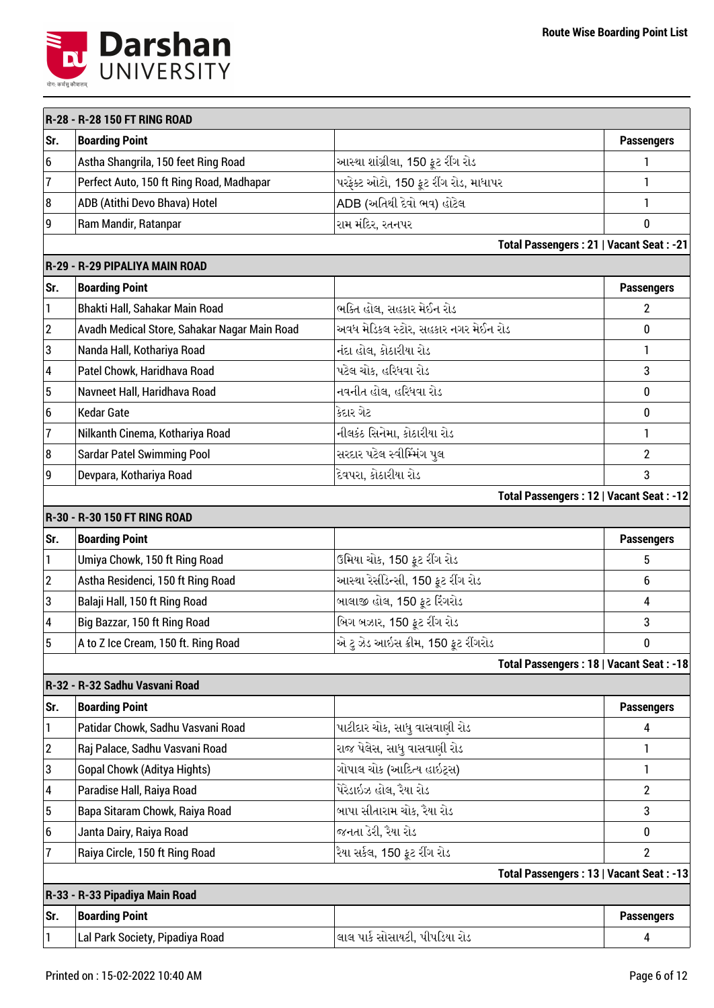

|                  | R-28 - R-28 150 FT RING ROAD                 |                                         |                   |
|------------------|----------------------------------------------|-----------------------------------------|-------------------|
| Sr.              | <b>Boarding Point</b>                        |                                         | <b>Passengers</b> |
| 6                | Astha Shangrila, 150 feet Ring Road          | આસ્થા શાંગ્રીલા, 150 ફૂટ રીંગ રોડ       | 1                 |
| $\overline{1}$   | Perfect Auto, 150 ft Ring Road, Madhapar     | પરફેક્ટ ઓટો, 150 ફૂટ રીંગ રોડ, માધાપર   | 1                 |
| 8                | ADB (Atithi Devo Bhava) Hotel                | ADB (અતિથી દેવો ભવ) હોટેલ               | 1                 |
| 9                | Ram Mandir, Ratanpar                         | રામ મંદિર, રતનપર                        | 0                 |
|                  |                                              | Total Passengers: 21   Vacant Seat: -21 |                   |
|                  | R-29 - R-29 PIPALIYA MAIN ROAD               |                                         |                   |
| Sr.              | <b>Boarding Point</b>                        |                                         | <b>Passengers</b> |
| 1                | Bhakti Hall, Sahakar Main Road               | ભક્તિ હોલ, સહકાર મેઈન રોડ               | $\overline{2}$    |
| $\overline{c}$   | Avadh Medical Store, Sahakar Nagar Main Road | અવધ મેડિકલ સ્ટોર, સહકાર નગર મેઈન રોડ    | 0                 |
| 3                | Nanda Hall, Kothariya Road                   | નંદા હોલ, કોઠારીયા રોડ                  | 1                 |
| 4                | Patel Chowk, Haridhava Road                  | પટેલ ચોક, હરિધવા રોડ                    | 3                 |
| 5                | Navneet Hall, Haridhava Road                 | નવનીત હોલ, હરિધવા રોડ                   | 0                 |
| $\boldsymbol{6}$ | <b>Kedar Gate</b>                            | કેદાર ગેટ                               | 0                 |
| $\overline{7}$   | Nilkanth Cinema, Kothariya Road              | નીલકંઠ સિનેમા, કોઠારીયા રોડ             | 1                 |
| 8                | <b>Sardar Patel Swimming Pool</b>            | સરદાર પટેલ સ્વીમ્મિંગ પુલ               | $\overline{2}$    |
| 9                | Devpara, Kothariya Road                      | દેવપરા, કોઠારીયા રોડ                    | 3                 |
|                  |                                              | Total Passengers: 12   Vacant Seat: -12 |                   |
|                  | R-30 - R-30 150 FT RING ROAD                 |                                         |                   |
| Sr.              | <b>Boarding Point</b>                        |                                         | <b>Passengers</b> |
| 1                | Umiya Chowk, 150 ft Ring Road                | ઉમિયા ચોક, 150 ફૂટ રીંગ રોડ             | 5                 |
| $\overline{c}$   | Astha Residenci, 150 ft Ring Road            | આસ્થા રેસીડેન્સી, 150 ફૂટ રીંગ રોડ      | 6                 |
| 3                | Balaji Hall, 150 ft Ring Road                | બાલાજી હોલ, 150 ફૂટ રિંગરોડ             | 4                 |
| 4                | Big Bazzar, 150 ft Ring Road                 | બિગ બઝાર, 150 ફૂટ રીંગ રોડ              | 3                 |
| 5                | A to Z Ice Cream, 150 ft. Ring Road          | એ ટુ ઝેડ આઇસ ક્રીમ, 150 ફૂટ રીંગરોડ     | 0                 |
|                  |                                              | Total Passengers: 18   Vacant Seat: -18 |                   |
|                  | R-32 - R-32 Sadhu Vasvani Road               |                                         |                   |
| Sr.              | <b>Boarding Point</b>                        |                                         | <b>Passengers</b> |
| $\mathbf{1}$     | Patidar Chowk, Sadhu Vasvani Road            | પાટીદાર ચોક, સાધુ વાસવાણી રોડ           | 4                 |
| $\overline{c}$   | Raj Palace, Sadhu Vasvani Road               | રાજ પેલેસ, સાધુ વાસવાણી રોડ             | 1                 |
| 3                | <b>Gopal Chowk (Aditya Hights)</b>           | ગોપાલ ચોક (આદિત્ય હાઇટ્સ)               | 1                 |
| 4                | Paradise Hall, Raiya Road                    | પેરેડાઇઝ હોલ, રૈયા રોડ                  | $\overline{2}$    |
| 5                | Bapa Sitaram Chowk, Raiya Road               | બાપા સીતારામ ચોક, રૈયા રોડ              | 3                 |
| 6                | Janta Dairy, Raiya Road                      | જનતા ડેરી, રૈયા રોડ                     | $\bf{0}$          |
| 7                | Raiya Circle, 150 ft Ring Road               | રૈયા સર્કલ, 150 ફૂટ રીંગ રોડ            | $\overline{2}$    |
|                  |                                              | Total Passengers: 13   Vacant Seat: -13 |                   |
|                  | R-33 - R-33 Pipadiya Main Road               |                                         |                   |
| Sr.              | <b>Boarding Point</b>                        |                                         | <b>Passengers</b> |
| 1                | Lal Park Society, Pipadiya Road              | લાલ પાર્ક સોસાયટી, પીપડિયા રોડ          | 4                 |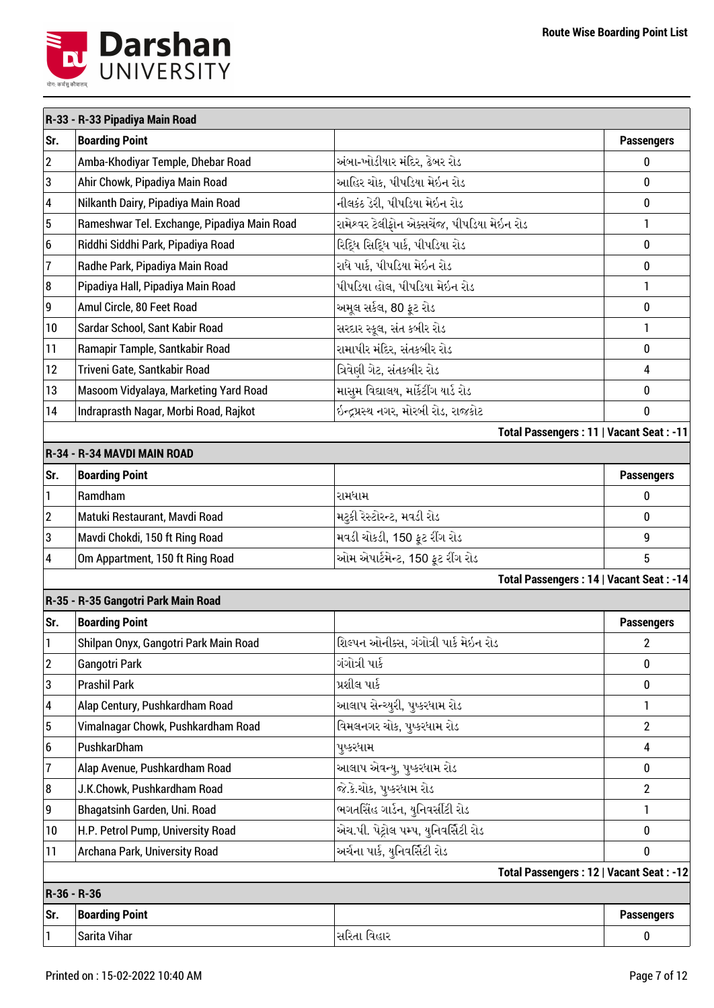

|                         | R-33 - R-33 Pipadiya Main Road              |                                             |                         |
|-------------------------|---------------------------------------------|---------------------------------------------|-------------------------|
| Sr.                     | <b>Boarding Point</b>                       |                                             | <b>Passengers</b>       |
| $\boldsymbol{2}$        | Amba-Khodiyar Temple, Dhebar Road           | અંબા-ખોડીયાર મંદિર, ઢેબર રોડ                | $\bf{0}$                |
| 3                       | Ahir Chowk, Pipadiya Main Road              | આહિર ચોક, પીપડિયા મેઇન રોડ                  | $\bf{0}$                |
| $\overline{\mathbf{4}}$ | Nilkanth Dairy, Pipadiya Main Road          | નીલકંઠ ડેરી, પીપડિયા મેઇન રોડ               | $\bf{0}$                |
| $\overline{5}$          | Rameshwar Tel. Exchange, Pipadiya Main Road | રામેશ્વર ટેલીફોન એક્સચેંજ, પીપડિયા મેઇન રોડ | 1                       |
| $6\phantom{1}$          | Riddhi Siddhi Park, Pipadiya Road           | રિદ્ધિ સિદ્ધિ પાર્ક, પીપડિયા રોડ            | 0                       |
| 7                       | Radhe Park, Pipadiya Main Road              | રાધે પાર્ક, પીપડિયા મેઇન રોડ                | $\bf{0}$                |
| 8                       | Pipadiya Hall, Pipadiya Main Road           | પીપડિયા હોલ, પીપડિયા મેઇન રોડ               | 1                       |
| 9                       | Amul Circle, 80 Feet Road                   | અમૂલ સર્કલ, 80 ફૂટ રોડ                      | $\bf{0}$                |
| 10                      | Sardar School, Sant Kabir Road              | સરદાર સ્કૂલ, સંત કબીર રોડ                   | 1                       |
| 11                      | Ramapir Tample, Santkabir Road              | રામાપીર મંદિર, સંતકબીર રોડ                  | 0                       |
| 12                      | Triveni Gate, Santkabir Road                | ત્રિવેણી ગેટ, સંતકબીર રોડ                   | $\overline{\mathbf{4}}$ |
| 13                      | Masoom Vidyalaya, Marketing Yard Road       | માસુમ વિદ્યાલય, માર્કેટીંગ યાર્ડ રોડ        | 0                       |
| 14                      | Indraprasth Nagar, Morbi Road, Rajkot       | ઇન્દ્રપ્રસ્થ નગર, મોરબી રોડ, રાજકોટ         | $\bf{0}$                |
|                         |                                             | Total Passengers: 11   Vacant Seat: -11     |                         |
|                         | R-34 - R-34 MAVDI MAIN ROAD                 |                                             |                         |
| Sr.                     | <b>Boarding Point</b>                       |                                             | <b>Passengers</b>       |
| 1                       | Ramdham                                     | રામધામ                                      | 0                       |
| $\mathbf{2}$            | Matuki Restaurant, Mavdi Road               | મટુકી રેસ્ટોરન્ટ, મવડી રોડ                  | $\bf{0}$                |
| 3                       | Mavdi Chokdi, 150 ft Ring Road              | મવડી ચોકડી, 150 ફૂટ રીંગ રોડ                | 9                       |
| 4                       | Om Appartment, 150 ft Ring Road             | ઓમ એપાર્ટમેન્ટ, 150 ફૂટ રીંગ રોડ            | 5                       |
|                         |                                             | Total Passengers: 14   Vacant Seat: -14     |                         |
|                         | R-35 - R-35 Gangotri Park Main Road         |                                             |                         |
| Sr.                     | <b>Boarding Point</b>                       |                                             | <b>Passengers</b>       |
|                         | Shilpan Onyx, Gangotri Park Main Road       | શિલ્પન ઓનીક્સ, ગંગોત્રી પાર્ક મેઇન રોડ      | 2                       |
| $\boldsymbol{2}$        | Gangotri Park                               | ગંગોત્રી પાર્ક                              | $\bf{0}$                |
| 3                       | <b>Prashil Park</b>                         | પ્રશીલ પાર્ક                                | $\bf{0}$                |
| 4                       | Alap Century, Pushkardham Road              | આલાપ સેન્ચ્યુરી, પુષ્કરધામ રોડ              | 1                       |
| 5                       | Vimalnagar Chowk, Pushkardham Road          | વિમલનગર ચોક, પુષ્કરધામ રોડ                  | $\overline{2}$          |
| $6\phantom{1}$          | PushkarDham                                 | પુષ્કરધામ                                   | 4                       |
| 7                       | Alap Avenue, Pushkardham Road               | આલાપ એવન્યુ, પુષ્કરધામ રોડ                  | 0                       |
| 8                       | J.K.Chowk, Pushkardham Road                 | જે.કે.ચોક, પુષ્કરધામ રોડ                    | $\overline{2}$          |
| 9                       | Bhagatsinh Garden, Uni. Road                | ભગતસિંહ ગાર્ડન, યુનિવર્સીટી રોડ             | 1                       |
| 10                      | H.P. Petrol Pump, University Road           | એચ.પી. પેટ્રોલ પમ્પ, યુનિવર્સિટી રોડ        | $\bf{0}$                |
| 11                      | Archana Park, University Road               | અર્ચના પાર્ક, યુનિવર્સિટી રોડ               | $\bf{0}$                |
|                         |                                             | Total Passengers: 12   Vacant Seat: -12     |                         |
| R-36 - R-36             |                                             |                                             |                         |
| Sr.                     | <b>Boarding Point</b>                       |                                             | <b>Passengers</b>       |
| 1                       | Sarita Vihar                                | સરિતા વિહાર                                 | $\pmb{0}$               |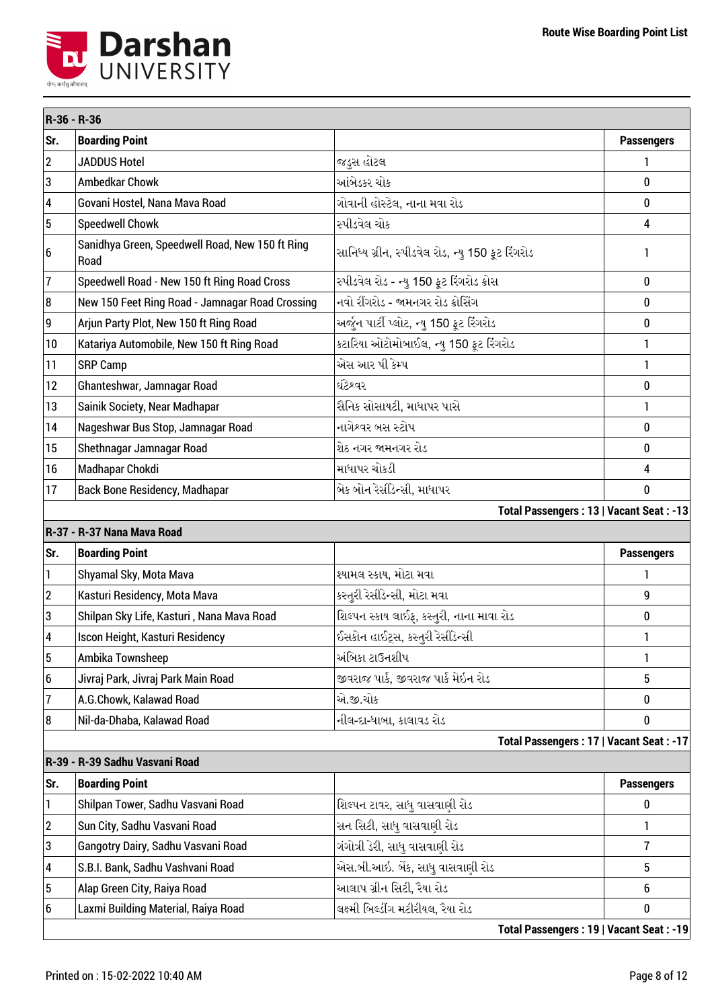

| R-36 - R-36             |                                                         |                                                   |                   |
|-------------------------|---------------------------------------------------------|---------------------------------------------------|-------------------|
| Sr.                     | <b>Boarding Point</b>                                   |                                                   | <b>Passengers</b> |
| $\overline{c}$          | <b>JADDUS Hotel</b>                                     | જડુસ હોટલ                                         | 1                 |
| 3                       | <b>Ambedkar Chowk</b>                                   | આંબેડકર ચોક                                       | 0                 |
| $\overline{\mathbf{4}}$ | Govani Hostel, Nana Mava Road                           | ગોવાની હોસ્ટેલ, નાના મવા રોડ                      | 0                 |
| 5                       | <b>Speedwell Chowk</b>                                  | સ્પીડવેલ ચોક                                      | 4                 |
| $6\phantom{1}$          | Sanidhya Green, Speedwell Road, New 150 ft Ring<br>Road | સાનિધ્ય ગ્રીન, સ્પીડવેલ રોડ, ન્યુ 150 ફૂટ રિંગરોડ | 1                 |
| 7                       | Speedwell Road - New 150 ft Ring Road Cross             | સ્પીડવેલ રોડ - ન્યુ 150 ફૂટ રિંગરોડ ક્રોસ         | 0                 |
| 8                       | New 150 Feet Ring Road - Jamnagar Road Crossing         | નવો રીંગરોડ - જામનગર રોડ ક્રોસિંગ                 | $\bf{0}$          |
| 9                       | Arjun Party Plot, New 150 ft Ring Road                  | અર્જુન પાર્ટી પ્લોટ, ન્યુ 150 ફૂટ રિંગરોડ         | 0                 |
| 10                      | Katariya Automobile, New 150 ft Ring Road               | કટારિયા ઓટોમોબાઈલ, ન્યુ 150 ફૂટ રિંગરોડ           | 1                 |
| 11                      | <b>SRP Camp</b>                                         | એસ આર પી કેમ્પ                                    | 1                 |
| 12                      | Ghanteshwar, Jamnagar Road                              | ઘંટેશ્વર                                          | 0                 |
| 13                      | Sainik Society, Near Madhapar                           | સૈનિક સોસાયટી, માધાપર પાસે                        | 1                 |
| 14                      | Nageshwar Bus Stop, Jamnagar Road                       | નાગેશ્વર બસ સ્ટોપ                                 | 0                 |
| 15                      | Shethnagar Jamnagar Road                                | શેઠ નગર જામનગર રોડ                                | 0                 |
| 16                      | Madhapar Chokdi                                         | માધાપર ચોકડી                                      | 4                 |
| 17                      | <b>Back Bone Residency, Madhapar</b>                    | બેક બોન રેસીડેન્સી, માધાપર                        | 0                 |
|                         |                                                         | Total Passengers: 13   Vacant Seat: -13           |                   |
|                         | R-37 - R-37 Nana Mava Road                              |                                                   |                   |
| Sr.                     | <b>Boarding Point</b>                                   |                                                   | <b>Passengers</b> |
| 1                       | Shyamal Sky, Mota Mava                                  | શ્યામલ સ્કાય, મોટા મવા                            | 1                 |
| $\boldsymbol{2}$        | Kasturi Residency, Mota Mava                            | કસ્તુરી રેસીડેન્સી, મોટા મવા                      | 9                 |
| 3                       | Shilpan Sky Life, Kasturi, Nana Mava Road               | શિલ્પન સ્કાય લાઈફ, કસ્તુરી, નાના માવા રોડ         | 0                 |
| 4                       | Iscon Height, Kasturi Residency                         | ઈસકોન હાઈટ્સ, કસ્તુરી રેસીડેન્સી                  | 1                 |
| 5                       | Ambika Townsheep                                        | અંબિકા ટાઉનશીપ                                    | 1                 |
| 6                       | Jivraj Park, Jivraj Park Main Road                      | જીવરાજ પાર્ક, જીવરાજ પાર્ક મેઇન રોડ               | 5                 |
| 7                       | A.G.Chowk, Kalawad Road                                 | એ.જી.ચોક                                          | 0                 |
| 8                       | Nil-da-Dhaba, Kalawad Road                              | નીલ-દા-ધાબા, કાલાવડ રોડ                           | 0                 |
|                         |                                                         | Total Passengers: 17   Vacant Seat: -17           |                   |
|                         | R-39 - R-39 Sadhu Vasvani Road                          |                                                   |                   |
| Sr.                     | <b>Boarding Point</b>                                   |                                                   | <b>Passengers</b> |
| 1                       | Shilpan Tower, Sadhu Vasvani Road                       | શિલ્પન ટાવર, સાધુ વાસવાણી રોડ                     | 0                 |
| $\boldsymbol{2}$        | Sun City, Sadhu Vasvani Road                            | સન સિટી, સાધુ વાસવાણી રોડ                         | 1                 |
| 3                       | Gangotry Dairy, Sadhu Vasvani Road                      | ગંગોત્રી ડેરી, સાધુ વાસવાણી રોડ                   | 7                 |
| 4                       | S.B.I. Bank, Sadhu Vashvani Road                        | એસ.બી.આઇ. બેંક, સાધુ વાસવાણી રોડ                  | 5                 |
| 5                       | Alap Green City, Raiya Road                             | આલાપ ગ્રીન સિટી, રૈયા રોડ                         | 6                 |
| 6                       | Laxmi Building Material, Raiya Road                     | લક્ષ્મી બિલ્ડીંગ મટીરીયલ, રૈયા રોડ                | 0                 |
|                         |                                                         | Total Passengers: 19   Vacant Seat: -19           |                   |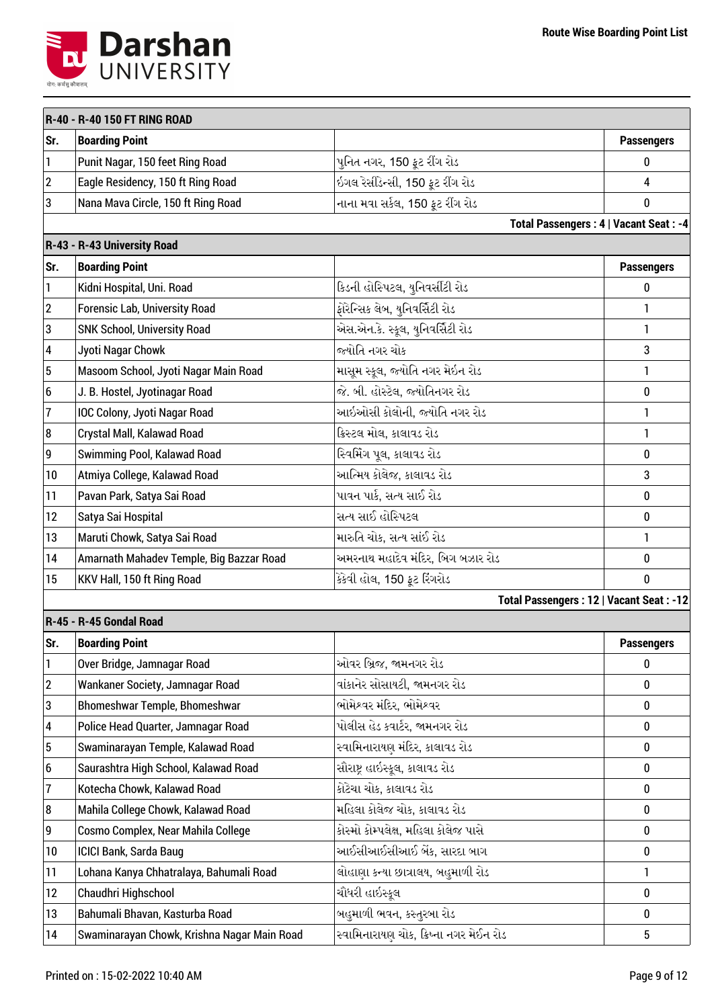

|                  | R-40 - R-40 150 FT RING ROAD                |                                         |                   |
|------------------|---------------------------------------------|-----------------------------------------|-------------------|
| Sr.              | <b>Boarding Point</b>                       |                                         | <b>Passengers</b> |
| $\mathbf{1}$     | Punit Nagar, 150 feet Ring Road             | પુનિત નગર, 150 ફૂટ રીંગ રોડ             | 0                 |
| $\sqrt{2}$       | Eagle Residency, 150 ft Ring Road           | ઇગલ રેસીડેન્સી, 150 ફૂટ રીંગ રોડ        | $\overline{4}$    |
| 3                | Nana Mava Circle, 150 ft Ring Road          | નાના મવા સર્કલ, 150 ફૂટ રીંગ રોડ        | 0                 |
|                  |                                             | Total Passengers: 4   Vacant Seat: -4   |                   |
|                  | R-43 - R-43 University Road                 |                                         |                   |
| Sr.              | <b>Boarding Point</b>                       |                                         | <b>Passengers</b> |
| $\mathbf{1}$     | Kidni Hospital, Uni. Road                   | કિડની હોસ્પિટલ, યુનિવર્સીટી રોડ         | 0                 |
| $\overline{2}$   | <b>Forensic Lab, University Road</b>        | ફોરેન્સિક લેબ, યુનિવર્સિટી રોડ          | 1                 |
| 3                | SNK School, University Road                 | એસ.એન.કે. સ્કૂલ, યુનિવર્સિટી રોડ        | 1                 |
| $\pmb{4}$        | Jyoti Nagar Chowk                           | જ્યોતિ નગર ચોક                          | 3                 |
| $\overline{5}$   | Masoom School, Jyoti Nagar Main Road        | માસૂમ સ્કૂલ, જ્યોતિ નગર મેઇન રોડ        | 1                 |
| $\boldsymbol{6}$ | J. B. Hostel, Jyotinagar Road               | જે. બી. હોસ્ટેલ, જ્યોતિનગર રોડ          | $\bf{0}$          |
| $\overline{7}$   | IOC Colony, Jyoti Nagar Road                | આઇઓસી કોલોની, જ્યોતિ નગર રોડ            | 1                 |
| 8                | Crystal Mall, Kalawad Road                  | ક્રિસ્ટલ મોલ, કાલાવડ રોડ                | 1                 |
| $\boldsymbol{9}$ | Swimming Pool, Kalawad Road                 | સ્વિમિંગ પૂલ, કાલાવડ રોડ                | $\bf{0}$          |
| 10               | Atmiya College, Kalawad Road                | આત્મિય કોલેજ, કાલાવડ રોડ                | 3                 |
| 11               | Pavan Park, Satya Sai Road                  | પાવન પાર્ક, સત્ય સાઈ રોડ                | $\bf{0}$          |
| 12               | Satya Sai Hospital                          | સત્ય સાઈ હોસ્પિટલ                       | $\bf{0}$          |
| 13               | Maruti Chowk, Satya Sai Road                | મારુતિ ચોક, સત્ય સાંઈ રોડ               | $\mathbf{1}$      |
| 14               | Amarnath Mahadev Temple, Big Bazzar Road    | અમરનાથ મહાદેવ મંદિર, બિગ બઝાર રોડ       | 0                 |
| 15               | KKV Hall, 150 ft Ring Road                  | કેકેવી હોલ, 150 ફૂટ રિંગરોડ             | 0                 |
|                  |                                             | Total Passengers: 12   Vacant Seat: -12 |                   |
|                  | R-45 - R-45 Gondal Road                     |                                         |                   |
| Sr.              | <b>Boarding Point</b>                       |                                         | <b>Passengers</b> |
| $\vert$ 1        | Over Bridge, Jamnagar Road                  | ઓવર બ્રિજ, જામનગર રોડ                   | 0                 |
| $\sqrt{2}$       | Wankaner Society, Jamnagar Road             | વાંકાનેર સોસાયટી, જામનગર રોડ            | 0                 |
| 3                | Bhomeshwar Temple, Bhomeshwar               | ભોમેશ્વર મંદિર, ભોમેશ્વર                | $\bf{0}$          |
| 4                | Police Head Quarter, Jamnagar Road          | પોલીસ હેડ કવાર્ટર, જામનગર રોડ           | $\bf{0}$          |
| $\sqrt{5}$       | Swaminarayan Temple, Kalawad Road           | સ્વામિનારાયણ મંદિર, કાલાવડ રોડ          | 0                 |
| 6                | Saurashtra High School, Kalawad Road        | સૌરાષ્ટ્ર હાઇસ્કૂલ, કાલાવડ રોડ          | $\bf{0}$          |
| $\overline{1}$   | Kotecha Chowk, Kalawad Road                 | કોટેચા ચોક, કાલાવડ રોડ                  | $\bf{0}$          |
| 8                | Mahila College Chowk, Kalawad Road          | મહિલા કોલેજ ચોક, કાલાવડ રોડ             | $\bf{0}$          |
| $\boldsymbol{9}$ | Cosmo Complex, Near Mahila College          | કોસ્મો કોમ્પલેક્ષ, મહિલા કોલેજ પાસે     | $\bf{0}$          |
| 10               | ICICI Bank, Sarda Baug                      | આઈસીઆઈસીઆઈ બેંક, સારદા બાગ              | 0                 |
| 11               | Lohana Kanya Chhatralaya, Bahumali Road     | લોહાણા કન્યા છાત્રાલય, બહુમાળી રોડ      | 1                 |
| 12               | Chaudhri Highschool                         | ચૌધરી હાઇસ્કૂલ                          | 0                 |
| 13               | Bahumali Bhavan, Kasturba Road              | બહુમાળી ભવન, કસ્તુરબા રોડ               | 0                 |
| 14               | Swaminarayan Chowk, Krishna Nagar Main Road | સ્વામિનારાયણ ચોક, ક્રિષ્ના નગર મેઈન રોડ | $5\phantom{.0}$   |
|                  |                                             |                                         |                   |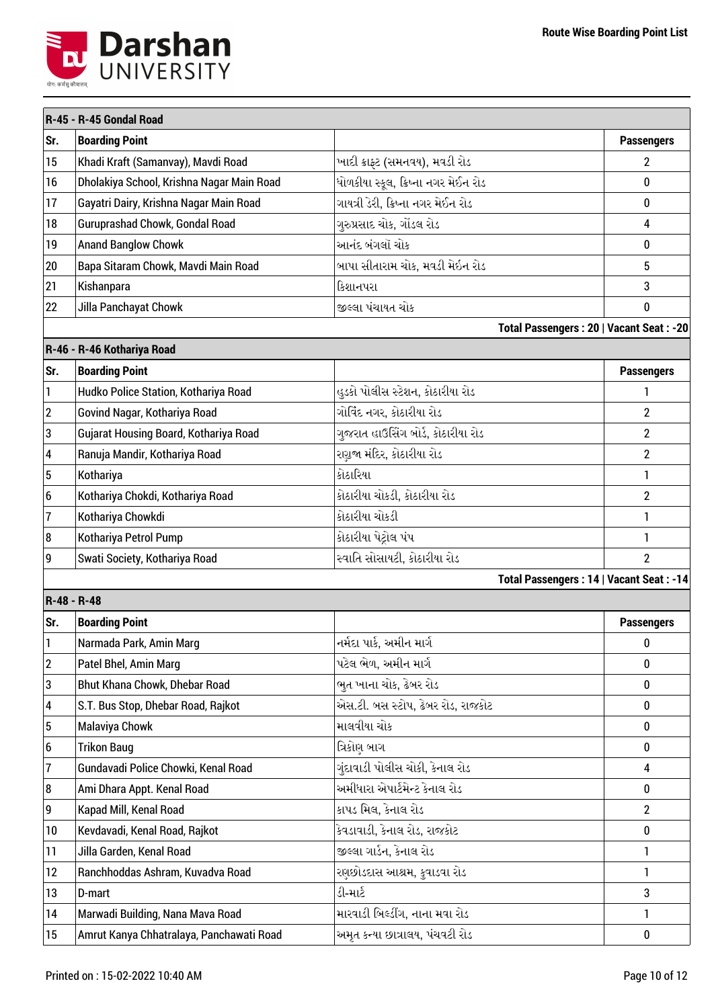

|                  | R-45 - R-45 Gondal Road                   |                                      |                                         |
|------------------|-------------------------------------------|--------------------------------------|-----------------------------------------|
| Sr.              | <b>Boarding Point</b>                     |                                      | <b>Passengers</b>                       |
| 15               | Khadi Kraft (Samanvay), Mavdi Road        | ખાદી ક્રાફ્ટ (સમનવય), મવડી રોડ       | 2                                       |
| 16               | Dholakiya School, Krishna Nagar Main Road | ધોળકીયા સ્કૂલ, ક્રિષ્ના નગર મેઈન રોડ | $\bf{0}$                                |
| 17               | Gayatri Dairy, Krishna Nagar Main Road    | ગાયત્રી ડેરી, ક્રિષ્ના નગર મેઈન રોડ  | $\bf{0}$                                |
| 18               | Guruprashad Chowk, Gondal Road            | ગુરુપ્રસાદ ચોક, ગોંડલ રોડ            | 4                                       |
| 19               | <b>Anand Banglow Chowk</b>                | આનંદ બંગલૉ ચોક                       | $\bf{0}$                                |
| 20               | Bapa Sitaram Chowk, Mavdi Main Road       | બાપા સીતારામ ચોક, મવડી મેઇન રોડ      | 5                                       |
| 21               | Kishanpara                                | કિશાનપરા                             | 3                                       |
| 22               | Jilla Panchayat Chowk                     | જીલ્લા પંચાયત ચોક                    | 0                                       |
|                  |                                           |                                      | Total Passengers: 20   Vacant Seat: -20 |
|                  | R-46 - R-46 Kothariya Road                |                                      |                                         |
| Sr.              | <b>Boarding Point</b>                     |                                      | <b>Passengers</b>                       |
| $\mathbf{1}$     | Hudko Police Station, Kothariya Road      | હુડકો પોલીસ સ્ટેશન, કોઠારીયા રોડ     | 1                                       |
| $ 2\rangle$      | Govind Nagar, Kothariya Road              | ગોવિંદ નગર, કોઠારીયા રોડ             | $\overline{2}$                          |
| 3                | Gujarat Housing Board, Kothariya Road     | ગુજરાત હાઉસિંગ બોર્ડ, કોઠારીયા રોડ   | $\overline{2}$                          |
| 4                | Ranuja Mandir, Kothariya Road             | રણુજા મંદિર, કોઠારીયા રોડ            | $\overline{2}$                          |
| $\sqrt{5}$       | Kothariya                                 | કોઠારિયા                             | 1                                       |
| $\boldsymbol{6}$ | Kothariya Chokdi, Kothariya Road          | કોઠારીયા ચોકડી, કોઠારીયા રોડ         | $\overline{2}$                          |
| 7                | Kothariya Chowkdi                         | કોઠારીયા ચોકડી                       | 1                                       |
| 8                | Kothariya Petrol Pump                     | કોઠારીયા પેટ્રોલ પંપ                 | 1                                       |
| 9                | Swati Society, Kothariya Road             | સ્વાતિ સોસાયટી, કોઠારીયા રોડ         | $\overline{2}$                          |
|                  |                                           |                                      | Total Passengers: 14   Vacant Seat: -14 |
| R-48 - R-48      |                                           |                                      |                                         |
| Sr.              | <b>Boarding Point</b>                     |                                      | <b>Passengers</b>                       |
| 1                | Narmada Park, Amin Marg                   | નર્મદા પાર્ક, અમીન માર્ગ             | 0                                       |
| $\overline{2}$   | Patel Bhel, Amin Marg                     | પટેલ ભેળ, અમીન માર્ગ                 | 0                                       |
| 3                | Bhut Khana Chowk, Dhebar Road             | ભૂત ખાના ચોક, ઢેબર રોડ               | $\bf{0}$                                |
| 4                | S.T. Bus Stop, Dhebar Road, Rajkot        | એસ.ટી. બસ સ્ટોપ, ઢેબર રોડ, રાજકોટ    | $\bf{0}$                                |
| $\sqrt{5}$       | <b>Malaviya Chowk</b>                     | માલવીયા ચોક                          | 0                                       |
| $\boldsymbol{6}$ | <b>Trikon Baug</b>                        | ત્રિકોણ બાગ                          | $\bf{0}$                                |
| $\overline{7}$   | Gundavadi Police Chowki, Kenal Road       | ગૃંદાવાડી પોલીસ ચોકી, કેનાલ રોડ      | 4                                       |
| 8                | Ami Dhara Appt. Kenal Road                | અમીધારા એપાર્ટમેન્ટ કેનાલ રોડ        | $\bf{0}$                                |
| 9                | Kapad Mill, Kenal Road                    | કાપડ મિલ, કેનાલ રોડ                  | $\overline{2}$                          |
| 10               | Kevdavadi, Kenal Road, Rajkot             | કેવડાવાડી, કેનાલ રોડ, રાજકોટ         | 0                                       |
| 11               | Jilla Garden, Kenal Road                  | જીલ્લા ગાર્ડન, કેનાલ રોડ             | 1                                       |
| 12               | Ranchhoddas Ashram, Kuvadva Road          | રણછોડદાસ આશ્રમ, કુવાડવા રોડ          | 1                                       |
| 13               | D-mart                                    | ડી-માર્ટ                             | 3                                       |
| 14               | Marwadi Building, Nana Mava Road          | મારવાડી બિલ્ડીંગ, નાના મવા રોડ       | 1                                       |
| 15               | Amrut Kanya Chhatralaya, Panchawati Road  | અમૃત કન્યા છાત્રાલય, પંચવટી રોડ      | 0                                       |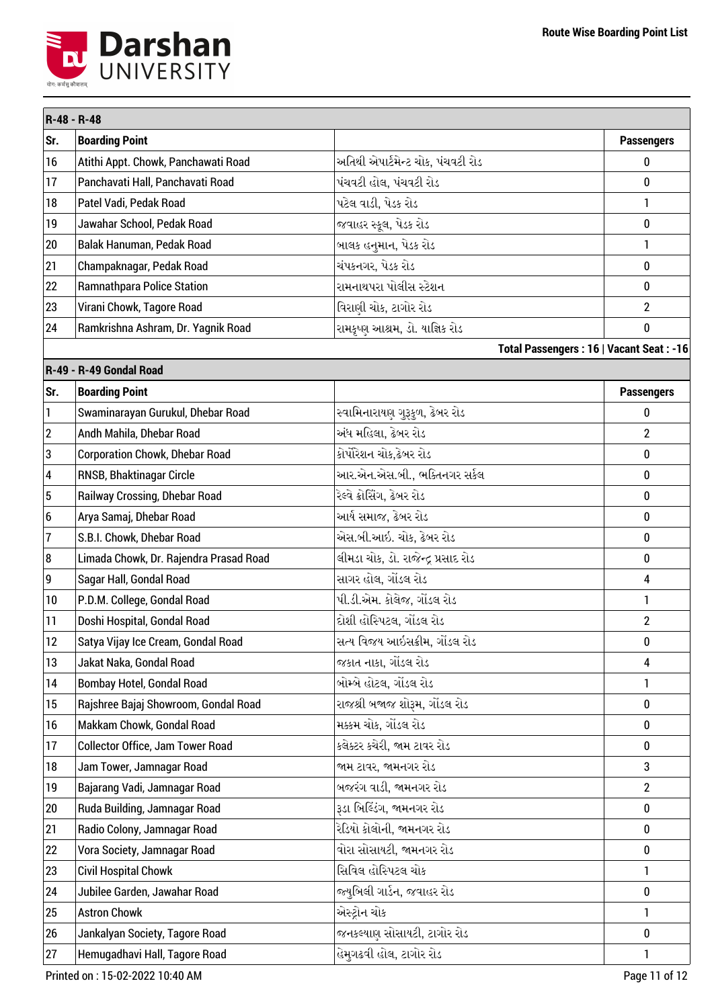

|                | R-48 - R-48                             |                                     |                                         |
|----------------|-----------------------------------------|-------------------------------------|-----------------------------------------|
| Sr.            | <b>Boarding Point</b>                   |                                     | <b>Passengers</b>                       |
| 16             | Atithi Appt. Chowk, Panchawati Road     | અતિથી એપાર્ટમેન્ટ ચોક, પંચવટી રોડ   | 0                                       |
| 17             | Panchavati Hall, Panchavati Road        | પંચવટી હોલ, પંચવટી રોડ              | 0                                       |
| 18             | Patel Vadi, Pedak Road                  | પટેલ વાડી, પેડક રોડ                 | $\mathbf{1}$                            |
| 19             | Jawahar School, Pedak Road              | જવાહર સ્કૂલ, પેડક રોડ               | 0                                       |
| 20             | Balak Hanuman, Pedak Road               | બાલક હનુમાન, પેડક રોડ               | 1                                       |
| 21             | Champaknagar, Pedak Road                | ચંપકનગર, પેડક રોડ                   | 0                                       |
| 22             | <b>Ramnathpara Police Station</b>       | રામનાથપરા પોલીસ સ્ટેશન              | 0                                       |
| 23             | Virani Chowk, Tagore Road               | વિરાણી ચોક, ટાગોર રોડ               | $\overline{2}$                          |
| 24             | Ramkrishna Ashram, Dr. Yagnik Road      | રામકૃષ્ણ આશ્રમ, ડો. યાજ્ઞિક રોડ     | 0                                       |
|                |                                         |                                     | Total Passengers: 16   Vacant Seat: -16 |
|                | R-49 - R-49 Gondal Road                 |                                     |                                         |
| Sr.            | <b>Boarding Point</b>                   |                                     | <b>Passengers</b>                       |
| $\mathbf{1}$   | Swaminarayan Gurukul, Dhebar Road       | સ્વામિનારાયણ ગુરૂકૂળ, ઢેબર રોડ      | 0                                       |
| $\overline{2}$ | Andh Mahila, Dhebar Road                | અંધ મહિલા, ઢેબર રોડ                 | $\overline{2}$                          |
| 3              | <b>Corporation Chowk, Dhebar Road</b>   | કોર્પોરેશન ચોક,ઢેબર રોડ             | 0                                       |
| 4              | RNSB, Bhaktinagar Circle                | આર.એન.એસ.બી., ભક્તિનગર સર્કલ        | 0                                       |
| 5              | Railway Crossing, Dhebar Road           | રેલ્વે ક્રોસિંગ, ઢેબર રોડ           | 0                                       |
| 6              | Arya Samaj, Dhebar Road                 | આર્ય સમાજ, ઢેબર રોડ                 | 0                                       |
| $\overline{1}$ | S.B.I. Chowk, Dhebar Road               | એસ.બી.આઇ. ચોક, ઢેબર રોડ             | 0                                       |
| 8              | Limada Chowk, Dr. Rajendra Prasad Road  | લીમડા ચોક, ડો. રાજેન્દ્ર પ્રસાદ રોડ | 0                                       |
| 9              | Sagar Hall, Gondal Road                 | સાગર હોલ, ગોંડલ રોડ                 | 4                                       |
| 10             | P.D.M. College, Gondal Road             | પી.ડી.એમ. કોલેજ, ગોંડલ રોડ          | 1                                       |
| 11             | Doshi Hospital, Gondal Road             | દોશી હોસ્પિટલ, ગોંડલ રોડ            | $\overline{2}$                          |
| 12             | Satya Vijay Ice Cream, Gondal Road      | સત્ય વિજય આઇસક્રીમ, ગોંડલ રોડ       | 0                                       |
| 13             | Jakat Naka, Gondal Road                 | જકાત નાકા, ગોંડલ રોડ                | 4                                       |
| 14             | Bombay Hotel, Gondal Road               | બોમ્બે હોટલ, ગોંડલ રોડ              | 1                                       |
| 15             | Rajshree Bajaj Showroom, Gondal Road    | રાજશ્રી બજાજ શોરૂમ, ગોંડલ રોડ       | 0                                       |
| 16             | Makkam Chowk, Gondal Road               | મક્કમ ચોક, ગોંડલ રોડ                | 0                                       |
| 17             | <b>Collector Office, Jam Tower Road</b> | કલેક્ટર કચેરી, જામ ટાવર રોડ         | 0                                       |
| 18             | Jam Tower, Jamnagar Road                | જામ ટાવર, જામનગર રોડ                | 3                                       |
| 19             | Bajarang Vadi, Jamnagar Road            | બજરંગ વાડી, જામનગર રોડ              | $\overline{2}$                          |
| 20             | Ruda Building, Jamnagar Road            | રૂડા બિલ્ડિંગ, જામનગર રોડ           | 0                                       |
| 21             | Radio Colony, Jamnagar Road             | રેડિયો કોલોની, જામનગર રોડ           | 0                                       |
| 22             | Vora Society, Jamnagar Road             | વોરા સોસાયટી, જામનગર રોડ            | 0                                       |
| 23             | <b>Civil Hospital Chowk</b>             | સિવિલ હોસ્પિટલ ચોક                  | 1                                       |
| 24             | Jubilee Garden, Jawahar Road            | જ્યુબિલી ગાર્ડન, જવાહર રોડ          | 0                                       |
| 25             | <b>Astron Chowk</b>                     | એસ્ટ્રોન ચોક                        | 1                                       |
| 26             | Jankalyan Society, Tagore Road          | જનકલ્યાણ સોસાયટી, ટાગોર રોડ         | 0                                       |
| 27             | Hemugadhavi Hall, Tagore Road           | હેમુગઢવી હોલ, ટાગોર રોડ             | 1                                       |

Printed on : 15-02-2022 10:40 AM Page 11 of 12